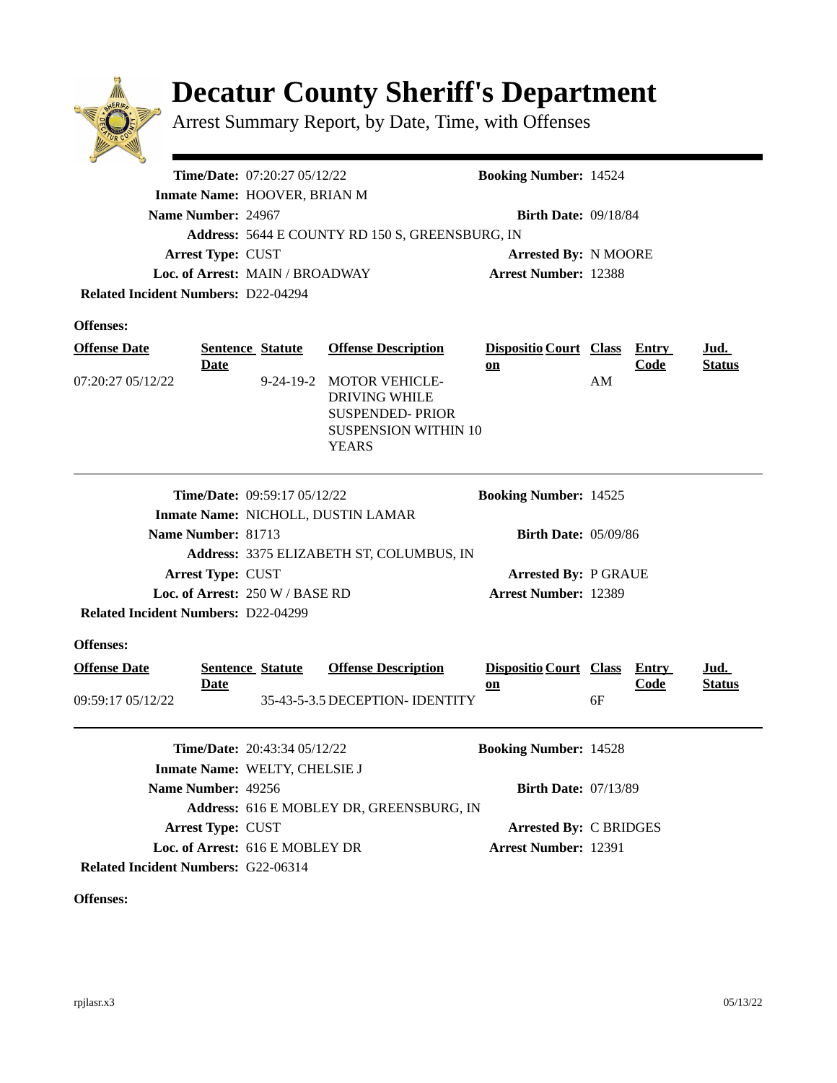

## **Decatur County Sheriff's Department**

Arrest Summary Report, by Date, Time, with Offenses

|                                                                               | Time/Date: 07:20:27 05/12/22                    | <b>Booking Number: 14524</b>                                                                                    |                                                            |    |              |               |  |
|-------------------------------------------------------------------------------|-------------------------------------------------|-----------------------------------------------------------------------------------------------------------------|------------------------------------------------------------|----|--------------|---------------|--|
| Inmate Name: HOOVER, BRIAN M                                                  |                                                 |                                                                                                                 |                                                            |    |              |               |  |
| Name Number: 24967                                                            |                                                 |                                                                                                                 | <b>Birth Date: 09/18/84</b>                                |    |              |               |  |
|                                                                               | Address: 5644 E COUNTY RD 150 S, GREENSBURG, IN |                                                                                                                 |                                                            |    |              |               |  |
| <b>Arrest Type: CUST</b>                                                      |                                                 |                                                                                                                 | <b>Arrested By: N MOORE</b>                                |    |              |               |  |
|                                                                               | Loc. of Arrest: MAIN / BROADWAY                 |                                                                                                                 | <b>Arrest Number: 12388</b>                                |    |              |               |  |
| <b>Related Incident Numbers: D22-04294</b>                                    |                                                 |                                                                                                                 |                                                            |    |              |               |  |
| <b>Offenses:</b>                                                              |                                                 |                                                                                                                 |                                                            |    |              |               |  |
|                                                                               |                                                 |                                                                                                                 |                                                            |    |              |               |  |
| <b>Offense Date</b>                                                           | <b>Sentence Statute</b>                         | <b>Offense Description</b>                                                                                      | Dispositio Court Class Entry                               |    | Code         | <u>Jud.</u>   |  |
| <u>Date</u><br>07:20:27 05/12/22                                              | 9-24-19-2                                       | <b>MOTOR VEHICLE-</b><br><b>DRIVING WHILE</b><br><b>SUSPENDED-PRIOR</b><br>SUSPENSION WITHIN 10<br><b>YEARS</b> | $on$                                                       | AM |              | <b>Status</b> |  |
| <b>Time/Date: 09:59:17 05/12/22</b>                                           |                                                 |                                                                                                                 | <b>Booking Number: 14525</b>                               |    |              |               |  |
|                                                                               |                                                 | Inmate Name: NICHOLL, DUSTIN LAMAR                                                                              |                                                            |    |              |               |  |
| Name Number: 81713                                                            | <b>Birth Date: 05/09/86</b>                     |                                                                                                                 |                                                            |    |              |               |  |
|                                                                               |                                                 | Address: 3375 ELIZABETH ST, COLUMBUS, IN                                                                        |                                                            |    |              |               |  |
| Arrest Type: CUST                                                             |                                                 |                                                                                                                 | <b>Arrested By: P GRAUE</b><br><b>Arrest Number: 12389</b> |    |              |               |  |
| Loc. of Arrest: 250 W / BASE RD<br><b>Related Incident Numbers: D22-04299</b> |                                                 |                                                                                                                 |                                                            |    |              |               |  |
|                                                                               |                                                 |                                                                                                                 |                                                            |    |              |               |  |
| <b>Offenses:</b>                                                              |                                                 |                                                                                                                 |                                                            |    |              |               |  |
| <b>Offense Date</b>                                                           | <b>Sentence Statute</b>                         | <b>Offense Description</b>                                                                                      | <b>Dispositio Court Class</b>                              |    | <b>Entry</b> | <u>Jud.</u>   |  |
| <u>Date</u>                                                                   |                                                 |                                                                                                                 | 0n                                                         |    | <b>Code</b>  | <b>Status</b> |  |
| 09:59:17 05/12/22                                                             |                                                 | 35-43-5-3.5 DECEPTION- IDENTITY                                                                                 |                                                            | 6F |              |               |  |
| <b>Time/Date: 20:43:34 05/12/22</b>                                           |                                                 | <b>Booking Number: 14528</b>                                                                                    |                                                            |    |              |               |  |
| Inmate Name: WELTY, CHELSIE J                                                 |                                                 |                                                                                                                 |                                                            |    |              |               |  |
| Name Number: 49256                                                            |                                                 |                                                                                                                 | <b>Birth Date: 07/13/89</b>                                |    |              |               |  |
|                                                                               |                                                 | Address: 616 E MOBLEY DR, GREENSBURG, IN                                                                        |                                                            |    |              |               |  |

Arrest Type: CUST **Arrested By: C BRIDGES** Loc. of Arrest: 616 E MOBLEY DR **Arrest Number: 12391** 

**Related Incident Numbers: G22-06314** 

**Offenses:**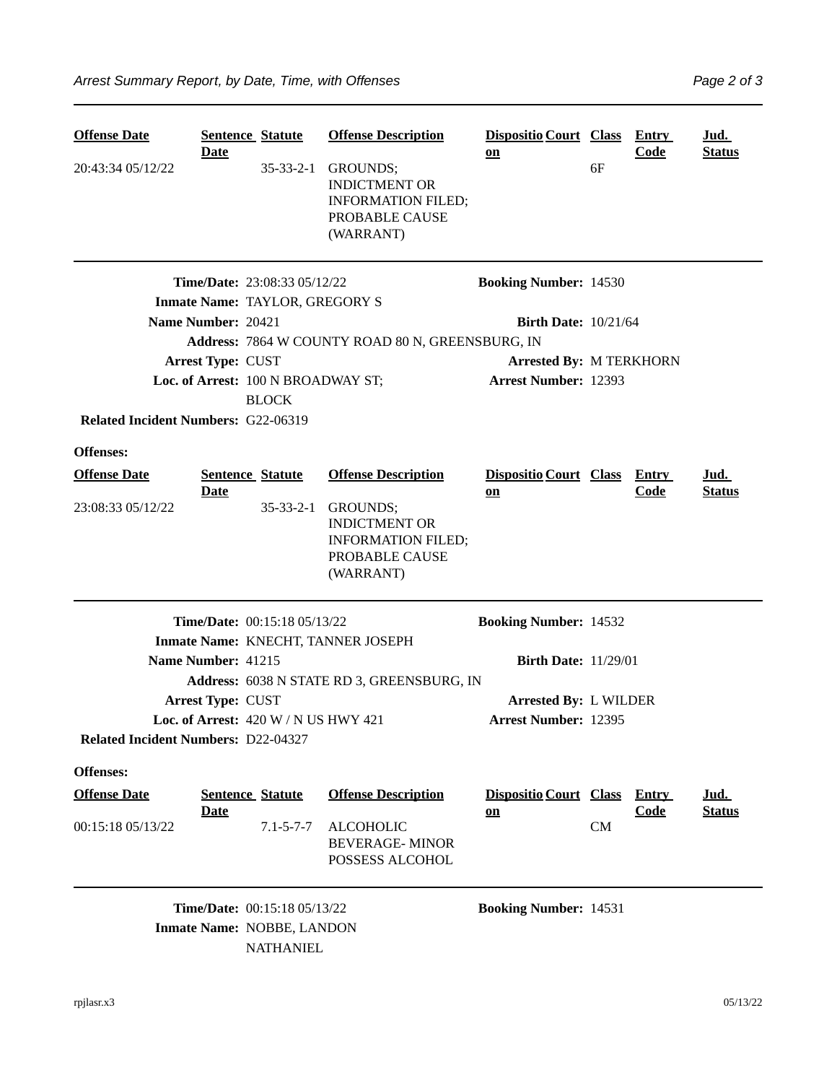| <b>Offense Date</b><br>20:43:34 05/12/22   | <b>Date</b>              | <b>Sentence Statute</b>                                                               | <b>Offense Description</b><br>35-33-2-1 GROUNDS;<br><b>INDICTMENT OR</b><br><b>INFORMATION FILED;</b><br>PROBABLE CAUSE<br>(WARRANT) | Dispositio Court Class Entry<br>on  | 6F        | <b>Code</b> | Jud.<br><b>Status</b> |  |
|--------------------------------------------|--------------------------|---------------------------------------------------------------------------------------|--------------------------------------------------------------------------------------------------------------------------------------|-------------------------------------|-----------|-------------|-----------------------|--|
|                                            |                          | <b>Time/Date: 23:08:33 05/12/22</b>                                                   |                                                                                                                                      | <b>Booking Number: 14530</b>        |           |             |                       |  |
| Inmate Name: TAYLOR, GREGORY S             |                          |                                                                                       |                                                                                                                                      |                                     |           |             |                       |  |
|                                            | Name Number: 20421       |                                                                                       |                                                                                                                                      | <b>Birth Date: 10/21/64</b>         |           |             |                       |  |
|                                            |                          | Address: 7864 W COUNTY ROAD 80 N, GREENSBURG, IN                                      |                                                                                                                                      |                                     |           |             |                       |  |
|                                            | <b>Arrest Type: CUST</b> |                                                                                       |                                                                                                                                      | <b>Arrested By: M TERKHORN</b>      |           |             |                       |  |
|                                            |                          | Loc. of Arrest: 100 N BROADWAY ST;                                                    |                                                                                                                                      | <b>Arrest Number: 12393</b>         |           |             |                       |  |
|                                            |                          | <b>BLOCK</b>                                                                          |                                                                                                                                      |                                     |           |             |                       |  |
| <b>Related Incident Numbers: G22-06319</b> |                          |                                                                                       |                                                                                                                                      |                                     |           |             |                       |  |
| <b>Offenses:</b>                           |                          |                                                                                       |                                                                                                                                      |                                     |           |             |                       |  |
| <b>Offense Date</b>                        |                          | <b>Sentence Statute</b>                                                               | <b>Offense Description</b>                                                                                                           | <b>Dispositio Court Class Entry</b> |           |             | <u>Jud.</u>           |  |
| 23:08:33 05/12/22                          | <b>Date</b>              | $35 - 33 - 2 - 1$                                                                     | GROUNDS;<br><b>INDICTMENT OR</b><br><b>INFORMATION FILED;</b><br>PROBABLE CAUSE<br>(WARRANT)                                         | $on$                                |           | <b>Code</b> | <b>Status</b>         |  |
|                                            |                          | Time/Date: 00:15:18 05/13/22                                                          |                                                                                                                                      | <b>Booking Number: 14532</b>        |           |             |                       |  |
|                                            |                          | Inmate Name: KNECHT, TANNER JOSEPH                                                    |                                                                                                                                      |                                     |           |             |                       |  |
|                                            | Name Number: 41215       |                                                                                       |                                                                                                                                      | <b>Birth Date: 11/29/01</b>         |           |             |                       |  |
|                                            |                          |                                                                                       | Address: 6038 N STATE RD 3, GREENSBURG, IN                                                                                           |                                     |           |             |                       |  |
|                                            | <b>Arrest Type: CUST</b> |                                                                                       |                                                                                                                                      | <b>Arrested By: L WILDER</b>        |           |             |                       |  |
|                                            |                          | Loc. of Arrest: 420 W / N US HWY 421                                                  |                                                                                                                                      | <b>Arrest Number: 12395</b>         |           |             |                       |  |
| <b>Related Incident Numbers: D22-04327</b> |                          |                                                                                       |                                                                                                                                      |                                     |           |             |                       |  |
| Offenses:                                  |                          |                                                                                       |                                                                                                                                      |                                     |           |             |                       |  |
| <b>Offense Date</b>                        |                          | <b>Sentence Statute</b>                                                               | <b>Offense Description</b>                                                                                                           | Dispositio Court Class Entry        |           |             | <u>Jud.</u>           |  |
| 00:15:18 05/13/22                          | <b>Date</b>              | $7.1 - 5 - 7 - 7$                                                                     | <b>ALCOHOLIC</b><br><b>BEVERAGE-MINOR</b><br>POSSESS ALCOHOL                                                                         | $on$                                | <b>CM</b> | <b>Code</b> | <b>Status</b>         |  |
|                                            |                          | <b>Time/Date: 00:15:18 05/13/22</b><br>Inmate Name: NOBBE, LANDON<br><b>NATHANIEL</b> |                                                                                                                                      | <b>Booking Number: 14531</b>        |           |             |                       |  |